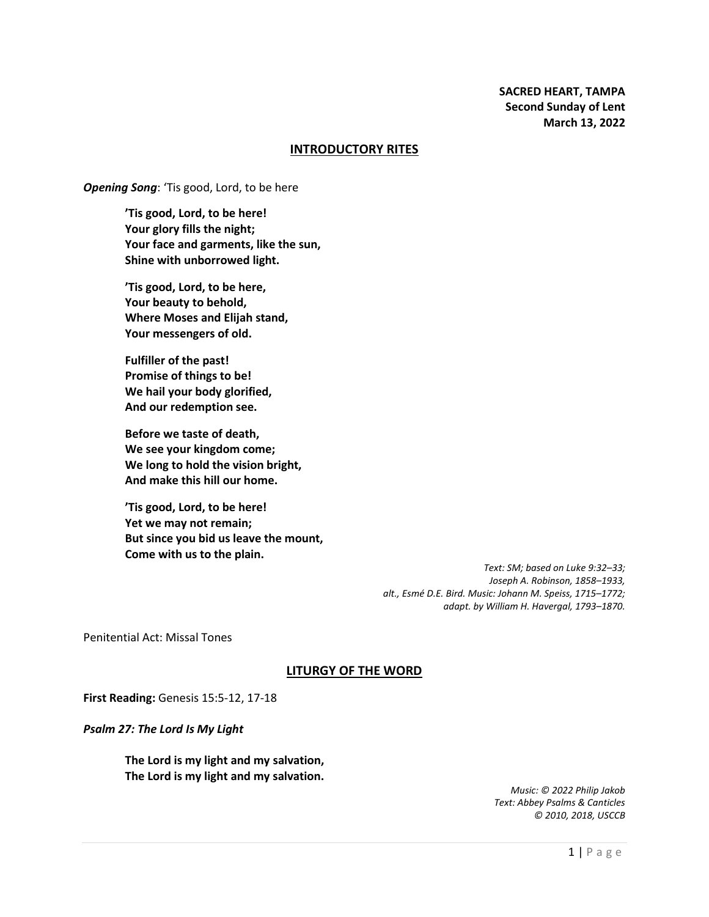### **INTRODUCTORY RITES**

*Opening Song*: 'Tis good, Lord, to be here

**'Tis good, Lord, to be here! Your glory fills the night; Your face and garments, like the sun, Shine with unborrowed light.**

**'Tis good, Lord, to be here, Your beauty to behold, Where Moses and Elijah stand, Your messengers of old.**

**Fulfiller of the past! Promise of things to be! We hail your body glorified, And our redemption see.**

**Before we taste of death, We see your kingdom come; We long to hold the vision bright, And make this hill our home.**

**'Tis good, Lord, to be here! Yet we may not remain; But since you bid us leave the mount, Come with us to the plain.**

> *Text: SM; based on Luke 9:32–33; Joseph A. Robinson, 1858–1933, alt., Esmé D.E. Bird. Music: Johann M. Speiss, 1715–1772; adapt. by William H. Havergal, 1793–1870.*

Penitential Act: Missal Tones

# **LITURGY OF THE WORD**

**First Reading:** Genesis 15:5-12, 17-18

*Psalm 27: The Lord Is My Light*

**The Lord is my light and my salvation, The Lord is my light and my salvation.**

> *Music: © 2022 Philip Jakob Text: Abbey Psalms & Canticles © 2010, 2018, USCCB*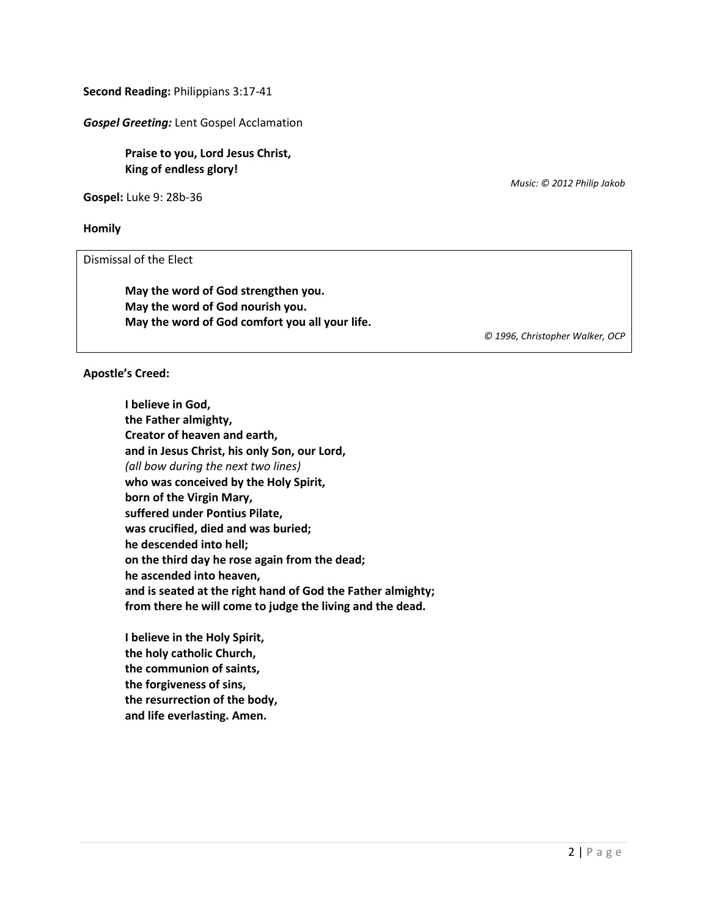**Second Reading:** Philippians 3:17-41

*Gospel Greeting:* Lent Gospel Acclamation

**Praise to you, Lord Jesus Christ, King of endless glory!**

**Gospel:** Luke 9: 28b-36

**Homily**

Dismissal of the Elect

**May the word of God strengthen you. May the word of God nourish you. May the word of God comfort you all your life.** *Music: © 2012 Philip Jakob*

*© 1996, Christopher Walker, OCP*

**Apostle's Creed:**

**I believe in God, the Father almighty, Creator of heaven and earth, and in Jesus Christ, his only Son, our Lord,** *(all bow during the next two lines)* **who was conceived by the Holy Spirit, born of the Virgin Mary, suffered under Pontius Pilate, was crucified, died and was buried; he descended into hell; on the third day he rose again from the dead; he ascended into heaven, and is seated at the right hand of God the Father almighty; from there he will come to judge the living and the dead.**

**I believe in the Holy Spirit, the holy catholic Church, the communion of saints, the forgiveness of sins, the resurrection of the body, and life everlasting. Amen.**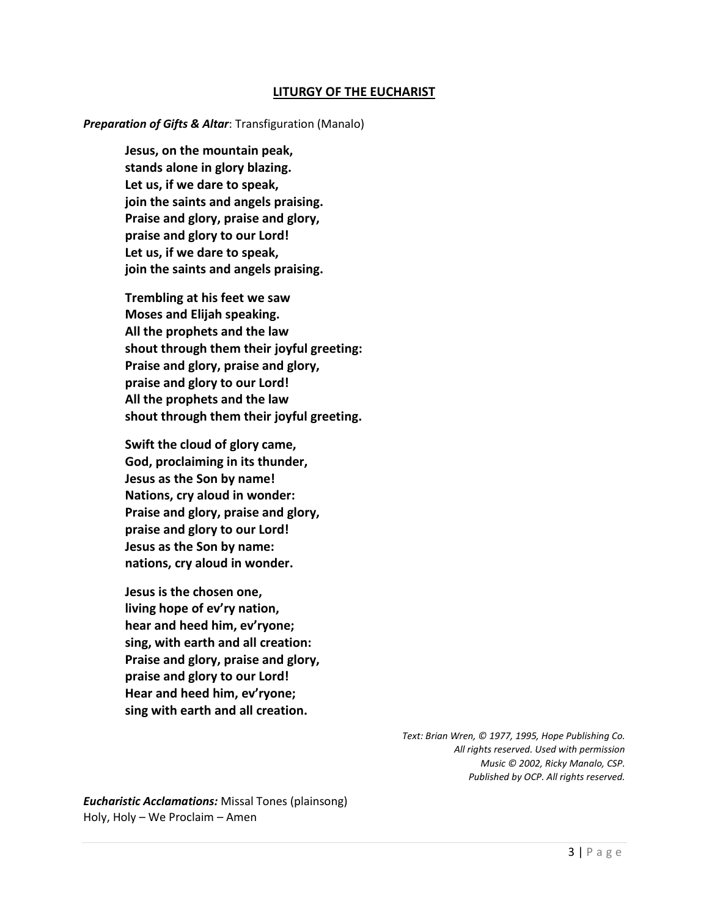## **LITURGY OF THE EUCHARIST**

#### *Preparation of Gifts & Altar*: Transfiguration (Manalo)

**Jesus, on the mountain peak, stands alone in glory blazing. Let us, if we dare to speak, join the saints and angels praising. Praise and glory, praise and glory, praise and glory to our Lord! Let us, if we dare to speak, join the saints and angels praising.**

**Trembling at his feet we saw Moses and Elijah speaking. All the prophets and the law shout through them their joyful greeting: Praise and glory, praise and glory, praise and glory to our Lord! All the prophets and the law shout through them their joyful greeting.**

**Swift the cloud of glory came, God, proclaiming in its thunder, Jesus as the Son by name! Nations, cry aloud in wonder: Praise and glory, praise and glory, praise and glory to our Lord! Jesus as the Son by name: nations, cry aloud in wonder.**

**Jesus is the chosen one, living hope of ev'ry nation, hear and heed him, ev'ryone; sing, with earth and all creation: Praise and glory, praise and glory, praise and glory to our Lord! Hear and heed him, ev'ryone; sing with earth and all creation.**

> *Text: Brian Wren, © 1977, 1995, Hope Publishing Co. All rights reserved. Used with permission Music © 2002, Ricky Manalo, CSP. Published by OCP. All rights reserved.*

*Eucharistic Acclamations:* Missal Tones (plainsong) Holy, Holy – We Proclaim – Amen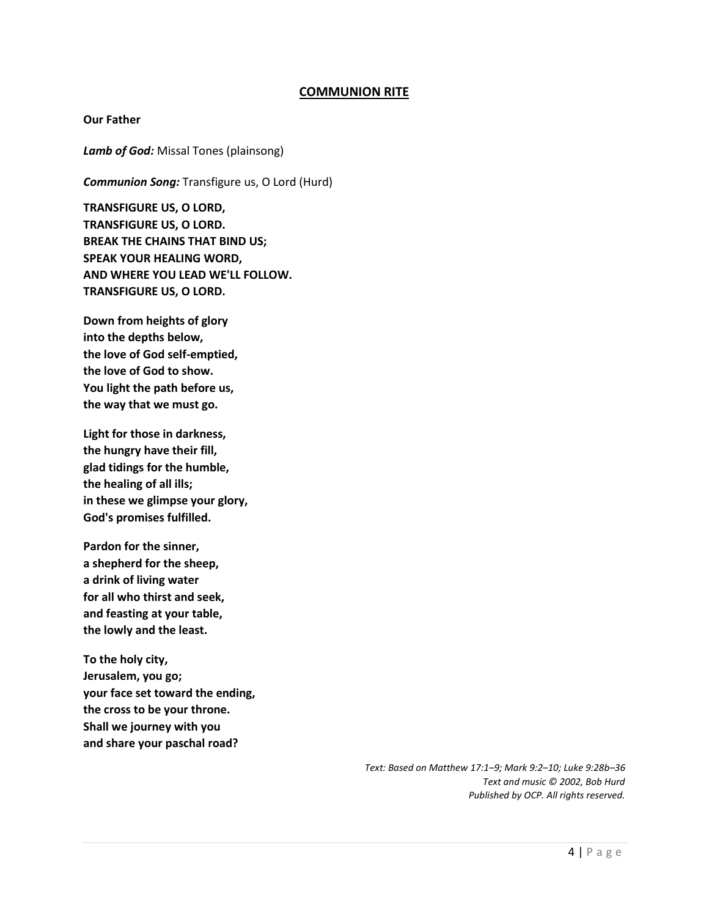# **COMMUNION RITE**

#### **Our Father**

*Lamb of God:* Missal Tones (plainsong)

*Communion Song:* Transfigure us, O Lord (Hurd)

**TRANSFIGURE US, O LORD, TRANSFIGURE US, O LORD. BREAK THE CHAINS THAT BIND US; SPEAK YOUR HEALING WORD, AND WHERE YOU LEAD WE'LL FOLLOW. TRANSFIGURE US, O LORD.**

**Down from heights of glory into the depths below, the love of God self-emptied, the love of God to show. You light the path before us, the way that we must go.**

**Light for those in darkness, the hungry have their fill, glad tidings for the humble, the healing of all ills; in these we glimpse your glory, God's promises fulfilled.**

**Pardon for the sinner, a shepherd for the sheep, a drink of living water for all who thirst and seek, and feasting at your table, the lowly and the least.**

**To the holy city, Jerusalem, you go; your face set toward the ending, the cross to be your throne. Shall we journey with you and share your paschal road?**

> *Text: Based on Matthew 17:1–9; Mark 9:2–10; Luke 9:28b–36 Text and music © 2002, Bob Hurd Published by OCP. All rights reserved.*